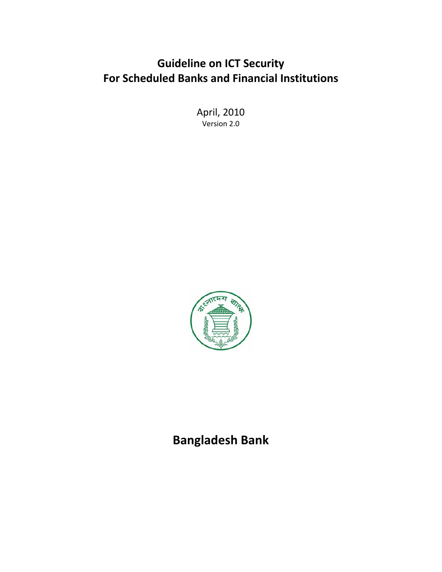# **Guideline on ICT Security For Scheduled Banks and Financial Institutions**

April, 2010 Version 2.0



**Bangladesh Bank**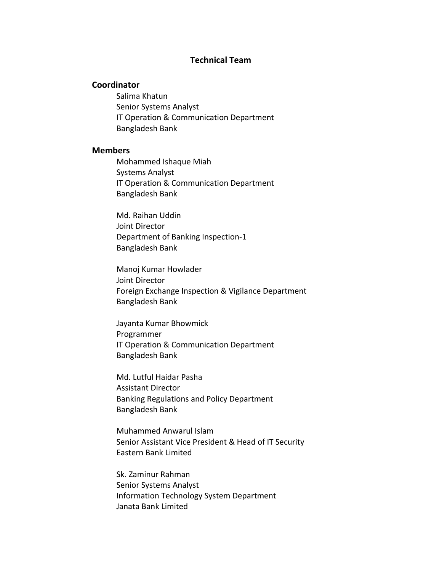#### **Technical Team**

#### **Coordinator**

Salima Khatun Senior Systems Analyst IT Operation & Communication Department Bangladesh Bank

#### **Members**

Mohammed Ishaque Miah Systems Analyst IT Operation & Communication Department Bangladesh Bank

Md. Raihan Uddin Joint Director Department of Banking Inspection‐1 Bangladesh Bank

Manoj Kumar Howlader Joint Director Foreign Exchange Inspection & Vigilance Department Bangladesh Bank

Jayanta Kumar Bhowmick Programmer IT Operation & Communication Department Bangladesh Bank

Md. Lutful Haidar Pasha Assistant Director Banking Regulations and Policy Department Bangladesh Bank

Muhammed Anwarul Islam Senior Assistant Vice President & Head of IT Security Eastern Bank Limited

Sk. Zaminur Rahman Senior Systems Analyst Information Technology System Department Janata Bank Limited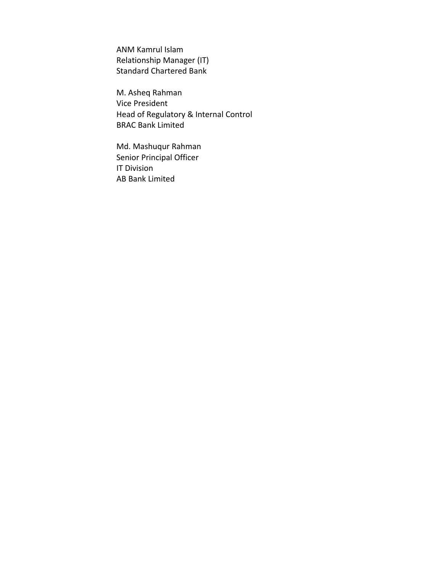ANM Kamrul Islam Relationship Manager (IT) Standard Chartered Bank

M. Asheq Rahman Vice President Head of Regulatory & Internal Control BRAC Bank Limited

Md. Mashuqur Rahman Senior Principal Officer IT Division AB Bank Limited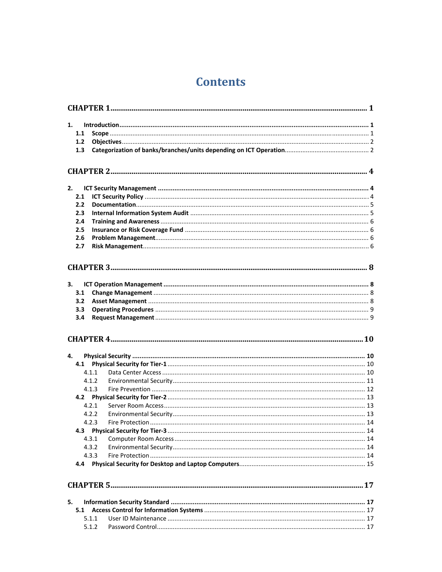# **Contents**

| 1.  |       |  |
|-----|-------|--|
| 1.1 |       |  |
| 1.2 |       |  |
| 1.3 |       |  |
|     |       |  |
|     |       |  |
| 2.  |       |  |
| 2.1 |       |  |
| 2.2 |       |  |
| 2.3 |       |  |
| 2.4 |       |  |
| 2.5 |       |  |
| 2.6 |       |  |
| 2.7 |       |  |
|     |       |  |
|     |       |  |
| 3.  |       |  |
| 3.1 |       |  |
| 3.2 |       |  |
| 3.3 |       |  |
| 3.4 |       |  |
|     |       |  |
|     |       |  |
|     |       |  |
| 4.  |       |  |
|     |       |  |
|     | 4.1.1 |  |
|     | 4.1.2 |  |
|     | 4.1.3 |  |
|     |       |  |
|     | 4.2.1 |  |
|     | 4.2.2 |  |
|     | 4.2.3 |  |
|     | 4.3.1 |  |
|     | 4.3.2 |  |
|     | 4.3.3 |  |
| 4.4 |       |  |
|     |       |  |
|     |       |  |
| 5.  |       |  |
| 5.1 |       |  |
|     | 5.1.1 |  |
|     | 5.1.2 |  |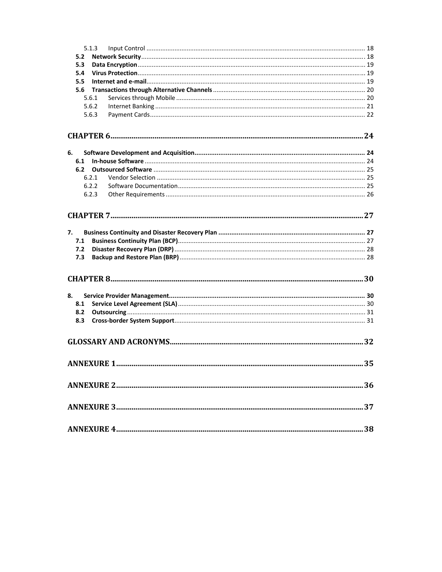|    |     | 5.1.3 |  |
|----|-----|-------|--|
|    | 5.2 |       |  |
|    | 5.3 |       |  |
|    | 5.4 |       |  |
|    | 5.5 |       |  |
|    | 5.6 |       |  |
|    |     | 5.6.1 |  |
|    |     | 5.6.2 |  |
|    |     | 5.6.3 |  |
|    |     |       |  |
| 6. |     |       |  |
|    | 6.1 |       |  |
|    | 6.2 |       |  |
|    |     | 6.2.1 |  |
|    |     | 6.2.2 |  |
|    |     | 6.2.3 |  |
|    |     |       |  |
| 7. |     |       |  |
|    | 7.1 |       |  |
|    | 7.2 |       |  |
|    | 7.3 |       |  |
|    |     |       |  |
| 8. |     |       |  |
|    | 8.1 |       |  |
|    | 8.2 |       |  |
|    | 8.3 |       |  |
|    |     |       |  |
|    |     |       |  |
|    |     |       |  |
|    |     |       |  |
|    |     |       |  |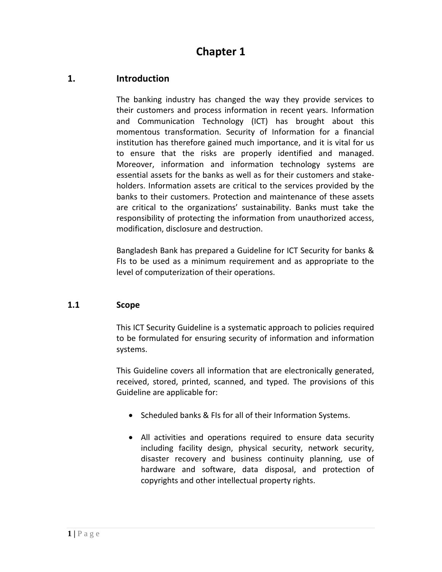# **1. Introduction**

The banking industry has changed the way they provide services to their customers and process information in recent years. Information and Communication Technology (ICT) has brought about this momentous transformation. Security of Information for a financial institution has therefore gained much importance, and it is vital for us to ensure that the risks are properly identified and managed. Moreover, information and information technology systems are essential assets for the banks as well as for their customers and stake‐ holders. Information assets are critical to the services provided by the banks to their customers. Protection and maintenance of these assets are critical to the organizations' sustainability. Banks must take the responsibility of protecting the information from unauthorized access, modification, disclosure and destruction.

Bangladesh Bank has prepared a Guideline for ICT Security for banks & FIs to be used as a minimum requirement and as appropriate to the level of computerization of their operations.

#### **1.1 Scope**

This ICT Security Guideline is a systematic approach to policies required to be formulated for ensuring security of information and information systems.

This Guideline covers all information that are electronically generated, received, stored, printed, scanned, and typed. The provisions of this Guideline are applicable for:

- Scheduled banks & FIs for all of their Information Systems.
- All activities and operations required to ensure data security including facility design, physical security, network security, disaster recovery and business continuity planning, use of hardware and software, data disposal, and protection of copyrights and other intellectual property rights.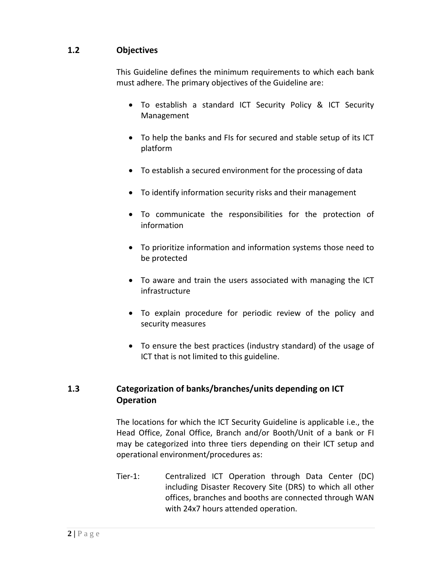# **1.2 Objectives**

This Guideline defines the minimum requirements to which each bank must adhere. The primary objectives of the Guideline are:

- To establish a standard ICT Security Policy & ICT Security Management
- To help the banks and FIs for secured and stable setup of its ICT platform
- To establish a secured environment for the processing of data
- To identify information security risks and their management
- To communicate the responsibilities for the protection of information
- To prioritize information and information systems those need to be protected
- To aware and train the users associated with managing the ICT infrastructure
- To explain procedure for periodic review of the policy and security measures
- To ensure the best practices (industry standard) of the usage of ICT that is not limited to this guideline.

# **1.3 Categorization of banks/branches/units depending on ICT Operation**

The locations for which the ICT Security Guideline is applicable i.e., the Head Office, Zonal Office, Branch and/or Booth/Unit of a bank or FI may be categorized into three tiers depending on their ICT setup and operational environment/procedures as:

Tier-1: Centralized ICT Operation through Data Center (DC) including Disaster Recovery Site (DRS) to which all other offices, branches and booths are connected through WAN with 24x7 hours attended operation.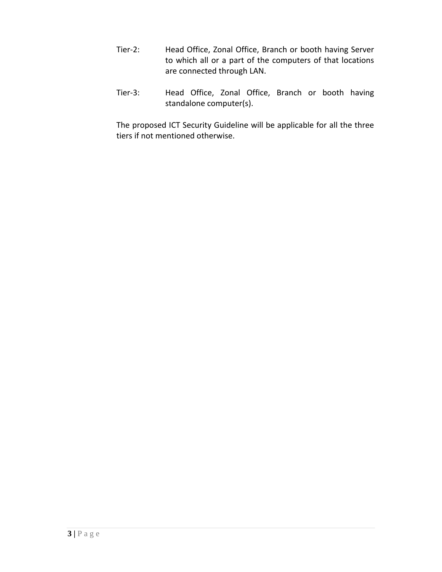- Tier-2: Head Office, Zonal Office, Branch or booth having Server to which all or a part of the computers of that locations are connected through LAN.
- Tier‐3: Head Office, Zonal Office, Branch or booth having standalone computer(s).

The proposed ICT Security Guideline will be applicable for all the three tiers if not mentioned otherwise.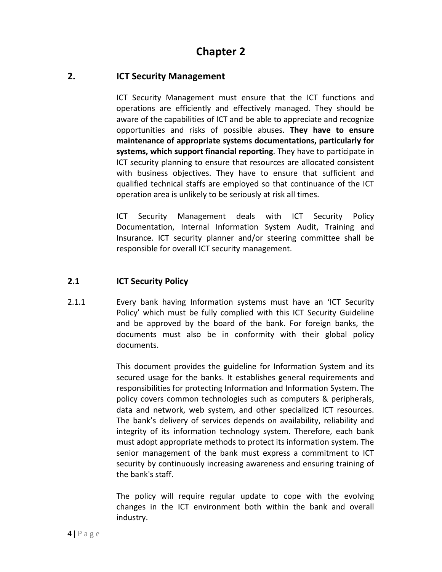# **2. ICT Security Management**

ICT Security Management must ensure that the ICT functions and operations are efficiently and effectively managed. They should be aware of the capabilities of ICT and be able to appreciate and recognize opportunities and risks of possible abuses. **They have to ensure maintenance of appropriate systems documentations, particularly for systems, which support financial reporting**. They have to participate in ICT security planning to ensure that resources are allocated consistent with business objectives. They have to ensure that sufficient and qualified technical staffs are employed so that continuance of the ICT operation area is unlikely to be seriously at risk all times.

ICT Security Management deals with ICT Security Policy Documentation, Internal Information System Audit, Training and Insurance. ICT security planner and/or steering committee shall be responsible for overall ICT security management.

## **2.1 ICT Security Policy**

2.1.1 Every bank having Information systems must have an 'ICT Security Policy' which must be fully complied with this ICT Security Guideline and be approved by the board of the bank. For foreign banks, the documents must also be in conformity with their global policy documents.

> This document provides the guideline for Information System and its secured usage for the banks. It establishes general requirements and responsibilities for protecting Information and Information System. The policy covers common technologies such as computers & peripherals, data and network, web system, and other specialized ICT resources. The bank's delivery of services depends on availability, reliability and integrity of its information technology system. Therefore, each bank must adopt appropriate methods to protect its information system. The senior management of the bank must express a commitment to ICT security by continuously increasing awareness and ensuring training of the bank's staff.

> The policy will require regular update to cope with the evolving changes in the ICT environment both within the bank and overall industry.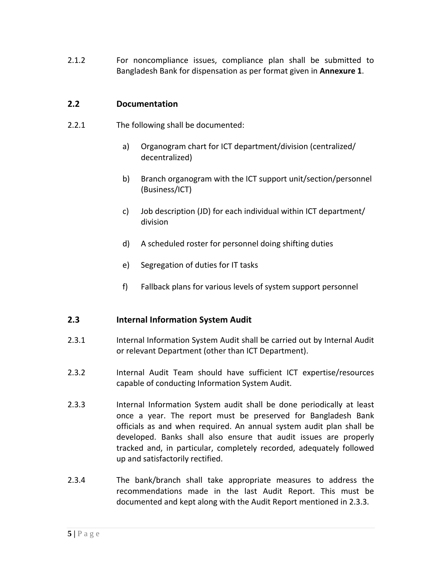2.1.2  **For noncompliance issues, compliance plan shall be submitted to** Bangladesh Bank for dispensation as per format given in **Annexure 1**.

## **2.2 Documentation**

- 2.2.1 The following shall be documented:
	- a) Organogram chart for ICT department/division (centralized/ decentralized)
	- b) Branch organogram with the ICT support unit/section/personnel (Business/ICT)
	- c) Job description (JD) for each individual within ICT department/ division
	- d) A scheduled roster for personnel doing shifting duties
	- e) Segregation of duties for IT tasks
	- f) Fallback plans for various levels of system support personnel

#### **2.3 Internal Information System Audit**

- 2.3.1 Internal Information System Audit shall be carried out by Internal Audit or relevant Department (other than ICT Department).
- 2.3.2 Internal Audit Team should have sufficient ICT expertise/resources capable of conducting Information System Audit.
- 2.3.3 Internal Information System audit shall be done periodically at least once a year. The report must be preserved for Bangladesh Bank officials as and when required. An annual system audit plan shall be developed. Banks shall also ensure that audit issues are properly tracked and, in particular, completely recorded, adequately followed up and satisfactorily rectified.
- 2.3.4 The bank/branch shall take appropriate measures to address the recommendations made in the last Audit Report. This must be documented and kept along with the Audit Report mentioned in 2.3.3.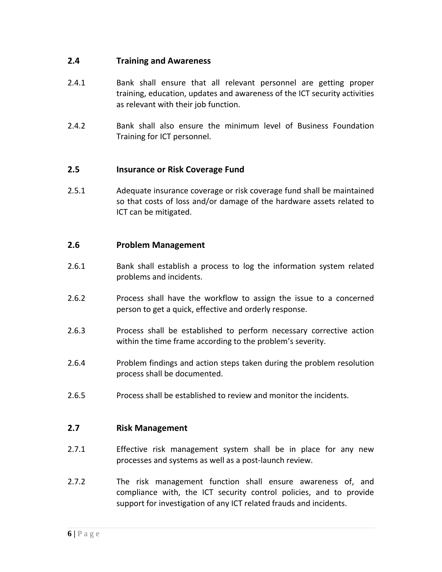## **2.4 Training and Awareness**

- 2.4.1 Bank shall ensure that all relevant personnel are getting proper training, education, updates and awareness of the ICT security activities as relevant with their job function.
- 2.4.2 Bank shall also ensure the minimum level of Business Foundation Training for ICT personnel.

# **2.5 Insurance or Risk Coverage Fund**

2.5.1 Adequate insurance coverage or risk coverage fund shall be maintained so that costs of loss and/or damage of the hardware assets related to ICT can be mitigated.

## **2.6 Problem Management**

- 2.6.1 **Bank shall establish a process to log the information system related** problems and incidents.
- 2.6.2 Process shall have the workflow to assign the issue to a concerned person to get a quick, effective and orderly response.
- 2.6.3 Process shall be established to perform necessary corrective action within the time frame according to the problem's severity.
- 2.6.4 Problem findings and action steps taken during the problem resolution process shall be documented.
- 2.6.5 Process shall be established to review and monitor the incidents.

## **2.7 Risk Management**

- 2.7.1 Effective risk management system shall be in place for any new processes and systems as well as a post‐launch review.
- 2.7.2 The risk management function shall ensure awareness of, and compliance with, the ICT security control policies, and to provide support for investigation of any ICT related frauds and incidents.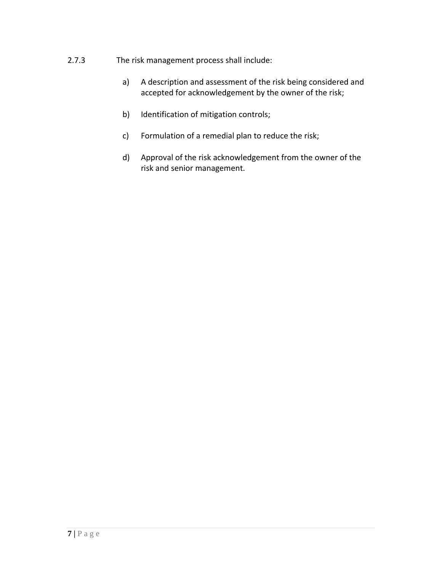- 2.7.3 The risk management process shall include:
	- a) A description and assessment of the risk being considered and accepted for acknowledgement by the owner of the risk;
	- b) Identification of mitigation controls;
	- c) Formulation of a remedial plan to reduce the risk;
	- d) Approval of the risk acknowledgement from the owner of the risk and senior management.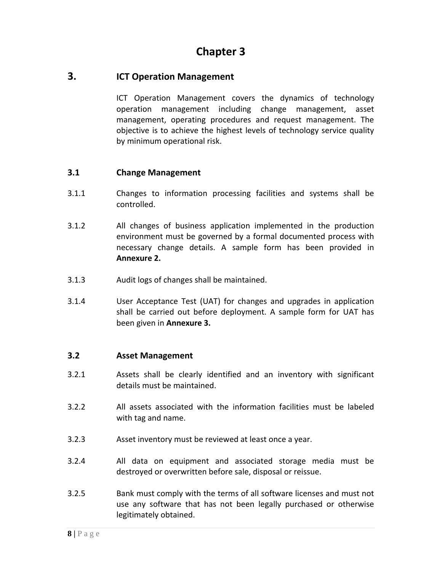## **3. ICT Operation Management**

ICT Operation Management covers the dynamics of technology operation management including change management, asset management, operating procedures and request management. The objective is to achieve the highest levels of technology service quality by minimum operational risk.

#### **3.1 Change Management**

- 3.1.1 Changes to information processing facilities and systems shall be controlled.
- 3.1.2 All changes of business application implemented in the production environment must be governed by a formal documented process with necessary change details. A sample form has been provided in **Annexure 2.**
- 3.1.3 Audit logs of changes shall be maintained.
- 3.1.4 User Acceptance Test (UAT) for changes and upgrades in application shall be carried out before deployment. A sample form for UAT has been given in **Annexure 3.**

#### **3.2 Asset Management**

- 3.2.1 Assets shall be clearly identified and an inventory with significant details must be maintained.
- 3.2.2 All assets associated with the information facilities must be labeled with tag and name.
- 3.2.3 Asset inventory must be reviewed at least once a year.
- 3.2.4 All data on equipment and associated storage media must be destroyed or overwritten before sale, disposal or reissue.
- 3.2.5 Bank must comply with the terms of all software licenses and must not use any software that has not been legally purchased or otherwise legitimately obtained.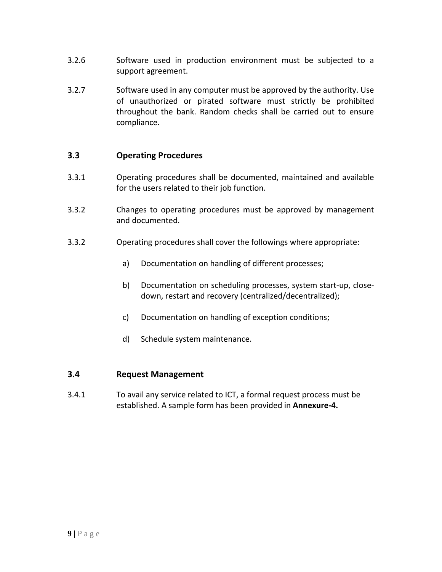- 3.2.6 Software used in production environment must be subjected to a support agreement.
- 3.2.7 Software used in any computer must be approved by the authority. Use of unauthorized or pirated software must strictly be prohibited throughout the bank. Random checks shall be carried out to ensure compliance.

## **3.3 Operating Procedures**

- 3.3.1 Operating procedures shall be documented, maintained and available for the users related to their job function.
- 3.3.2 Changes to operating procedures must be approved by management and documented.
- 3.3.2 Operating procedures shall cover the followings where appropriate:
	- a) Documentation on handling of different processes;
	- b) Documentation on scheduling processes, system start-up, closedown, restart and recovery (centralized/decentralized);
	- c) Documentation on handling of exception conditions;
	- d) Schedule system maintenance.

#### **3.4 Request Management**

3.4.1 To avail any service related to ICT, a formal request process must be established. A sample form has been provided in **Annexure‐4.**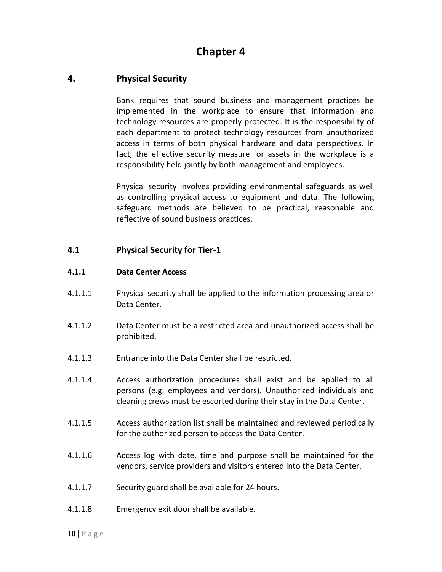# **4. Physical Security**

Bank requires that sound business and management practices be implemented in the workplace to ensure that information and technology resources are properly protected. It is the responsibility of each department to protect technology resources from unauthorized access in terms of both physical hardware and data perspectives. In fact, the effective security measure for assets in the workplace is a responsibility held jointly by both management and employees.

Physical security involves providing environmental safeguards as well as controlling physical access to equipment and data. The following safeguard methods are believed to be practical, reasonable and reflective of sound business practices.

#### **4.1 Physical Security for Tier‐1**

#### **4.1.1 Data Center Access**

- 4.1.1.1 Physical security shall be applied to the information processing area or Data Center.
- 4.1.1.2 Data Center must be a restricted area and unauthorized access shall be prohibited.
- 4.1.1.3 Entrance into the Data Center shall be restricted.
- 4.1.1.4 Access authorization procedures shall exist and be applied to all persons (e.g. employees and vendors). Unauthorized individuals and cleaning crews must be escorted during their stay in the Data Center.
- 4.1.1.5 Access authorization list shall be maintained and reviewed periodically for the authorized person to access the Data Center.
- 4.1.1.6 Access log with date, time and purpose shall be maintained for the vendors, service providers and visitors entered into the Data Center.
- 4.1.1.7 Security guard shall be available for 24 hours.
- 4.1.1.8 Emergency exit door shall be available.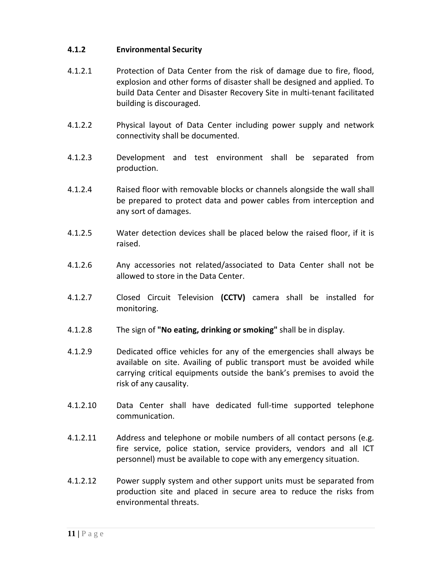#### **4.1.2 Environmental Security**

- 4.1.2.1 Protection of Data Center from the risk of damage due to fire, flood, explosion and other forms of disaster shall be designed and applied. To build Data Center and Disaster Recovery Site in multi‐tenant facilitated building is discouraged.
- 4.1.2.2 Physical layout of Data Center including power supply and network connectivity shall be documented.
- 4.1.2.3 Development and test environment shall be separated from production.
- 4.1.2.4 Raised floor with removable blocks or channels alongside the wall shall be prepared to protect data and power cables from interception and any sort of damages.
- 4.1.2.5 Water detection devices shall be placed below the raised floor, if it is raised.
- 4.1.2.6 Any accessories not related/associated to Data Center shall not be allowed to store in the Data Center.
- 4.1.2.7 Closed Circuit Television **(CCTV)** camera shall be installed for monitoring.
- 4.1.2.8 The sign of **"No eating, drinking or smoking"** shall be in display.
- 4.1.2.9 Dedicated office vehicles for any of the emergencies shall always be available on site. Availing of public transport must be avoided while carrying critical equipments outside the bank's premises to avoid the risk of any causality.
- 4.1.2.10 Data Center shall have dedicated full‐time supported telephone communication.
- 4.1.2.11 Address and telephone or mobile numbers of all contact persons (e.g. fire service, police station, service providers, vendors and all ICT personnel) must be available to cope with any emergency situation.
- 4.1.2.12 Power supply system and other support units must be separated from production site and placed in secure area to reduce the risks from environmental threats.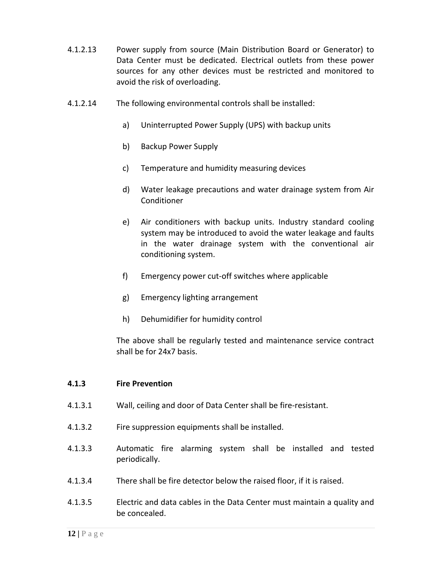- 4.1.2.13 Power supply from source (Main Distribution Board or Generator) to Data Center must be dedicated. Electrical outlets from these power sources for any other devices must be restricted and monitored to avoid the risk of overloading.
- 4.1.2.14 The following environmental controls shall be installed:
	- a) Uninterrupted Power Supply (UPS) with backup units
	- b) Backup Power Supply
	- c) Temperature and humidity measuring devices
	- d) Water leakage precautions and water drainage system from Air **Conditioner**
	- e) Air conditioners with backup units. Industry standard cooling system may be introduced to avoid the water leakage and faults in the water drainage system with the conventional air conditioning system.
	- f) Emergency power cut‐off switches where applicable
	- g) Emergency lighting arrangement
	- h) Dehumidifier for humidity control

The above shall be regularly tested and maintenance service contract shall be for 24x7 basis.

#### **4.1.3 Fire Prevention**

- 4.1.3.1 Wall, ceiling and door of Data Center shall be fire‐resistant.
- 4.1.3.2 Fire suppression equipments shall be installed.
- 4.1.3.3 Automatic fire alarming system shall be installed and tested periodically.
- 4.1.3.4 There shall be fire detector below the raised floor, if it is raised.
- 4.1.3.5 Electric and data cables in the Data Center must maintain a quality and be concealed.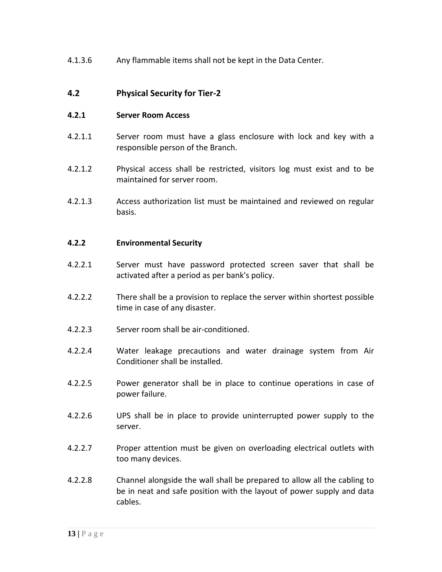4.1.3.6 Any flammable items shall not be kept in the Data Center.

## **4.2 Physical Security for Tier‐2**

#### **4.2.1 Server Room Access**

- 4.2.1.1 Server room must have a glass enclosure with lock and key with a responsible person of the Branch.
- 4.2.1.2 Physical access shall be restricted, visitors log must exist and to be maintained for server room.
- 4.2.1.3 Access authorization list must be maintained and reviewed on regular basis.

#### **4.2.2 Environmental Security**

- 4.2.2.1 Server must have password protected screen saver that shall be activated after a period as per bank's policy.
- 4.2.2.2 There shall be a provision to replace the server within shortest possible time in case of any disaster.
- 4.2.2.3 Server room shall be air‐conditioned.
- 4.2.2.4 Water leakage precautions and water drainage system from Air Conditioner shall be installed.
- 4.2.2.5 Power generator shall be in place to continue operations in case of power failure.
- 4.2.2.6 UPS shall be in place to provide uninterrupted power supply to the server.
- 4.2.2.7 Proper attention must be given on overloading electrical outlets with too many devices.
- 4.2.2.8 Channel alongside the wall shall be prepared to allow all the cabling to be in neat and safe position with the layout of power supply and data cables.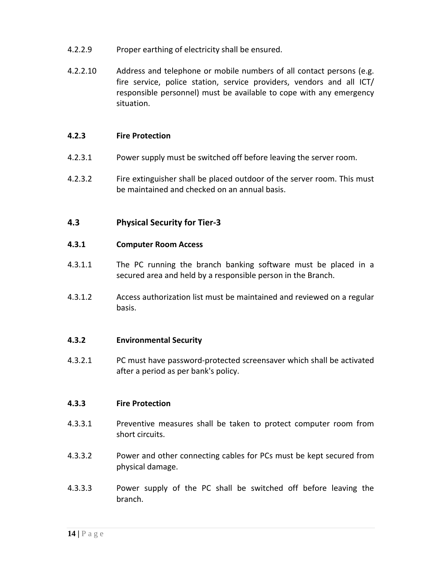- 4.2.2.9 Proper earthing of electricity shall be ensured.
- 4.2.2.10 Address and telephone or mobile numbers of all contact persons (e.g. fire service, police station, service providers, vendors and all ICT/ responsible personnel) must be available to cope with any emergency situation.

#### **4.2.3 Fire Protection**

- 4.2.3.1 Power supply must be switched off before leaving the server room.
- 4.2.3.2 Fire extinguisher shall be placed outdoor of the server room. This must be maintained and checked on an annual basis.

#### **4.3 Physical Security for Tier‐3**

#### **4.3.1 Computer Room Access**

- 4.3.1.1 The PC running the branch banking software must be placed in a secured area and held by a responsible person in the Branch.
- 4.3.1.2 Access authorization list must be maintained and reviewed on a regular basis.

#### **4.3.2 Environmental Security**

4.3.2.1 PC must have password‐protected screensaver which shall be activated after a period as per bank's policy.

#### **4.3.3 Fire Protection**

- 4.3.3.1 Preventive measures shall be taken to protect computer room from short circuits.
- 4.3.3.2 Power and other connecting cables for PCs must be kept secured from physical damage.
- 4.3.3.3 Power supply of the PC shall be switched off before leaving the branch.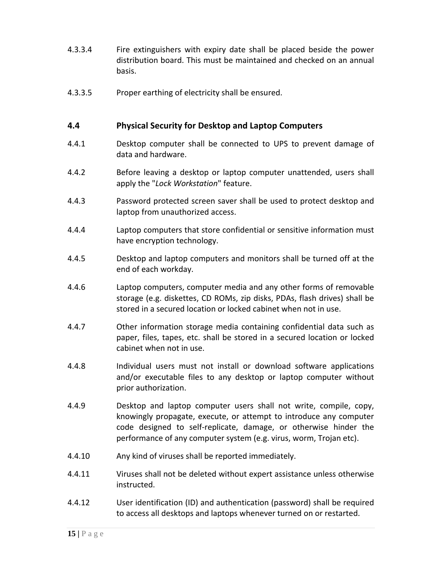- 4.3.3.4 Fire extinguishers with expiry date shall be placed beside the power distribution board. This must be maintained and checked on an annual basis.
- 4.3.3.5 Proper earthing of electricity shall be ensured.

#### **4.4 Physical Security for Desktop and Laptop Computers**

- 4.4.1 Desktop computer shall be connected to UPS to prevent damage of data and hardware.
- 4.4.2 Before leaving a desktop or laptop computer unattended, users shall apply the "*Lock Workstation*" feature.
- 4.4.3 Password protected screen saver shall be used to protect desktop and laptop from unauthorized access.
- 4.4.4 Laptop computers that store confidential or sensitive information must have encryption technology.
- 4.4.5 Desktop and laptop computers and monitors shall be turned off at the end of each workday.
- 4.4.6 Laptop computers, computer media and any other forms of removable storage (e.g. diskettes, CD ROMs, zip disks, PDAs, flash drives) shall be stored in a secured location or locked cabinet when not in use.
- 4.4.7 Other information storage media containing confidential data such as paper, files, tapes, etc. shall be stored in a secured location or locked cabinet when not in use.
- 4.4.8 Individual users must not install or download software applications and/or executable files to any desktop or laptop computer without prior authorization.
- 4.4.9 Desktop and laptop computer users shall not write, compile, copy, knowingly propagate, execute, or attempt to introduce any computer code designed to self‐replicate, damage, or otherwise hinder the performance of any computer system (e.g. virus, worm, Trojan etc).
- 4.4.10 Any kind of viruses shall be reported immediately.
- 4.4.11 Viruses shall not be deleted without expert assistance unless otherwise instructed.
- 4.4.12 User identification (ID) and authentication (password) shall be required to access all desktops and laptops whenever turned on or restarted.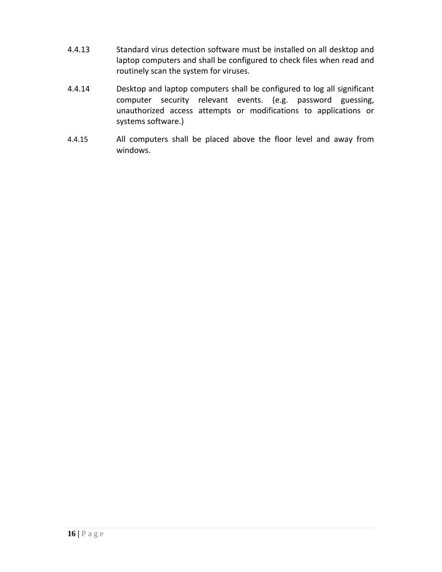- 4.4.13 Standard virus detection software must be installed on all desktop and laptop computers and shall be configured to check files when read and routinely scan the system for viruses.
- 4.4.14 Desktop and laptop computers shall be configured to log all significant computer security relevant events. (e.g. password guessing, unauthorized access attempts or modifications to applications or systems software.)
- 4.4.15 All computers shall be placed above the floor level and away from windows.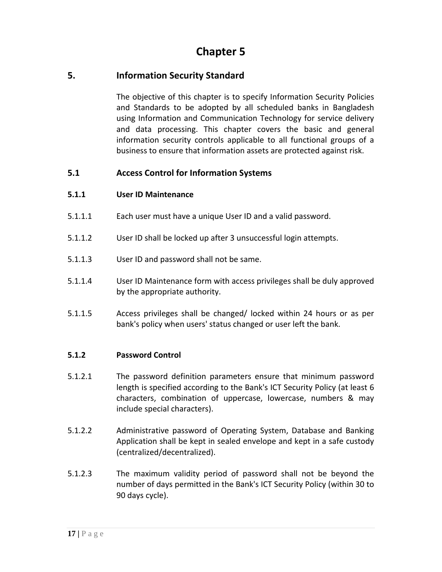# **5. Information Security Standard**

The objective of this chapter is to specify Information Security Policies and Standards to be adopted by all scheduled banks in Bangladesh using Information and Communication Technology for service delivery and data processing. This chapter covers the basic and general information security controls applicable to all functional groups of a business to ensure that information assets are protected against risk.

# **5.1 Access Control for Information Systems**

#### **5.1.1 User ID Maintenance**

- 5.1.1.1 Each user must have a unique User ID and a valid password.
- 5.1.1.2 User ID shall be locked up after 3 unsuccessful login attempts.
- 5.1.1.3 User ID and password shall not be same.
- 5.1.1.4 User ID Maintenance form with access privileges shall be duly approved by the appropriate authority.
- 5.1.1.5 Access privileges shall be changed/ locked within 24 hours or as per bank's policy when users' status changed or user left the bank.

#### **5.1.2 Password Control**

- 5.1.2.1 The password definition parameters ensure that minimum password length is specified according to the Bank's ICT Security Policy (at least 6 characters, combination of uppercase, lowercase, numbers & may include special characters).
- 5.1.2.2 Administrative password of Operating System, Database and Banking Application shall be kept in sealed envelope and kept in a safe custody (centralized/decentralized).
- 5.1.2.3 The maximum validity period of password shall not be beyond the number of days permitted in the Bank's ICT Security Policy (within 30 to 90 days cycle).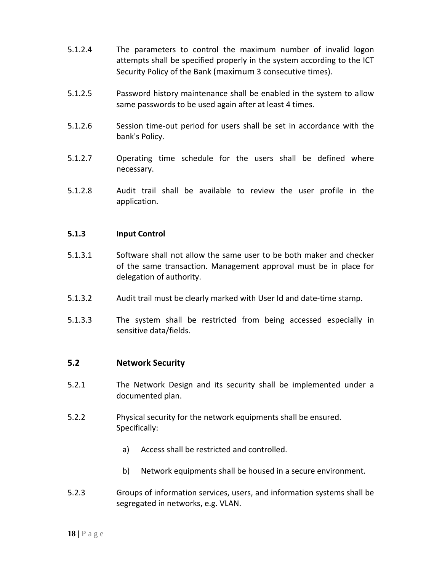- 5.1.2.4 The parameters to control the maximum number of invalid logon attempts shall be specified properly in the system according to the ICT Security Policy of the Bank (maximum 3 consecutive times).
- 5.1.2.5 Password history maintenance shall be enabled in the system to allow same passwords to be used again after at least 4 times.
- 5.1.2.6 Session time‐out period for users shall be set in accordance with the bank's Policy.
- 5.1.2.7 Operating time schedule for the users shall be defined where necessary.
- 5.1.2.8 Audit trail shall be available to review the user profile in the application.

#### **5.1.3 Input Control**

- 5.1.3.1 Software shall not allow the same user to be both maker and checker of the same transaction. Management approval must be in place for delegation of authority.
- 5.1.3.2 Audit trail must be clearly marked with User Id and date‐time stamp.
- 5.1.3.3 The system shall be restricted from being accessed especially in sensitive data/fields.

#### **5.2 Network Security**

- 5.2.1 The Network Design and its security shall be implemented under a documented plan.
- 5.2.2 Physical security for the network equipments shall be ensured. Specifically:
	- a) Access shall be restricted and controlled.
	- b) Network equipments shall be housed in a secure environment.
- 5.2.3 Groups of information services, users, and information systems shall be segregated in networks, e.g. VLAN.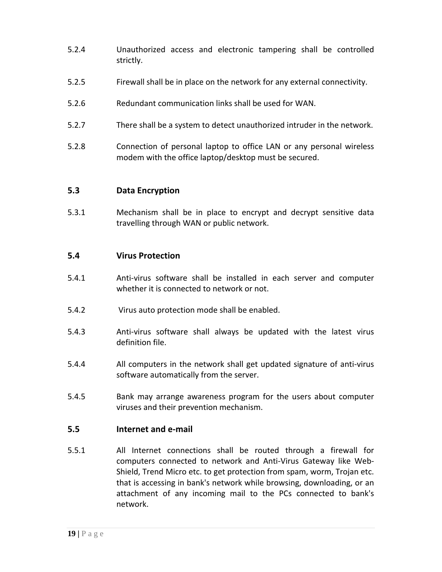- 5.2.4 Unauthorized access and electronic tampering shall be controlled strictly.
- 5.2.5 Firewall shall be in place on the network for any external connectivity.
- 5.2.6 Redundant communication links shall be used for WAN.
- 5.2.7 There shall be a system to detect unauthorized intruder in the network.
- 5.2.8 Connection of personal laptop to office LAN or any personal wireless modem with the office laptop/desktop must be secured.

#### **5.3 Data Encryption**

5.3.1 Mechanism shall be in place to encrypt and decrypt sensitive data travelling through WAN or public network.

#### **5.4 Virus Protection**

- 5.4.1 Anti‐virus software shall be installed in each server and computer whether it is connected to network or not.
- 5.4.2 Virus auto protection mode shall be enabled.
- 5.4.3 Anti-virus software shall always be updated with the latest virus definition file.
- 5.4.4 All computers in the network shall get updated signature of anti-virus software automatically from the server.
- 5.4.5 Bank may arrange awareness program for the users about computer viruses and their prevention mechanism.

#### **5.5 Internet and e‐mail**

5.5.1 All Internet connections shall be routed through a firewall for computers connected to network and Anti‐Virus Gateway like Web‐ Shield, Trend Micro etc. to get protection from spam, worm, Trojan etc. that is accessing in bank's network while browsing, downloading, or an attachment of any incoming mail to the PCs connected to bank's network.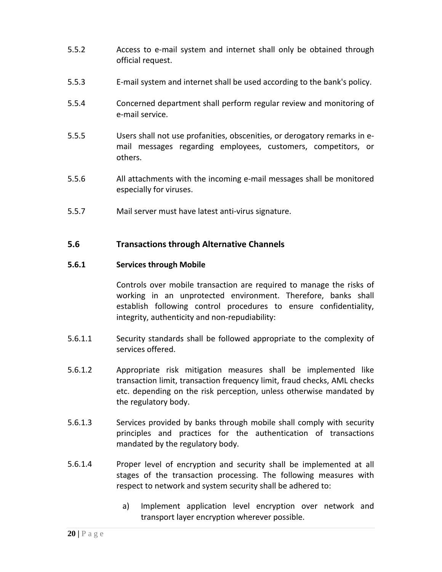- 5.5.2 Access to e‐mail system and internet shall only be obtained through official request.
- 5.5.3 E‐mail system and internet shall be used according to the bank's policy.
- 5.5.4 Concerned department shall perform regular review and monitoring of e‐mail service.
- 5.5.5 Users shall not use profanities, obscenities, or derogatory remarks in e‐ mail messages regarding employees, customers, competitors, or others.
- 5.5.6 All attachments with the incoming e‐mail messages shall be monitored especially for viruses.
- 5.5.7 Mail server must have latest anti‐virus signature.

#### **5.6 Transactions through Alternative Channels**

#### **5.6.1 Services through Mobile**

Controls over mobile transaction are required to manage the risks of working in an unprotected environment. Therefore, banks shall establish following control procedures to ensure confidentiality, integrity, authenticity and non‐repudiability:

- 5.6.1.1 Security standards shall be followed appropriate to the complexity of services offered.
- 5.6.1.2 Appropriate risk mitigation measures shall be implemented like transaction limit, transaction frequency limit, fraud checks, AML checks etc. depending on the risk perception, unless otherwise mandated by the regulatory body.
- 5.6.1.3 Services provided by banks through mobile shall comply with security principles and practices for the authentication of transactions mandated by the regulatory body.
- 5.6.1.4 Proper level of encryption and security shall be implemented at all stages of the transaction processing. The following measures with respect to network and system security shall be adhered to:
	- a) Implement application level encryption over network and transport layer encryption wherever possible.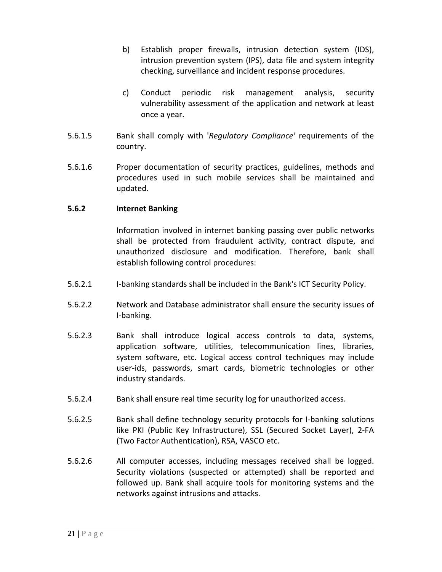- b) Establish proper firewalls, intrusion detection system (IDS), intrusion prevention system (IPS), data file and system integrity checking, surveillance and incident response procedures.
- c) Conduct periodic risk management analysis, security vulnerability assessment of the application and network at least once a year.
- 5.6.1.5 Bank shall comply with '*Regulatory Compliance'* requirements of the country.
- 5.6.1.6 Proper documentation of security practices, guidelines, methods and procedures used in such mobile services shall be maintained and updated.

#### **5.6.2 Internet Banking**

Information involved in internet banking passing over public networks shall be protected from fraudulent activity, contract dispute, and unauthorized disclosure and modification. Therefore, bank shall establish following control procedures:

- 5.6.2.1 I‐banking standards shall be included in the Bank's ICT Security Policy.
- 5.6.2.2 Network and Database administrator shall ensure the security issues of I‐banking.
- 5.6.2.3 Bank shall introduce logical access controls to data, systems, application software, utilities, telecommunication lines, libraries, system software, etc. Logical access control techniques may include user‐ids, passwords, smart cards, biometric technologies or other industry standards.
- 5.6.2.4 Bank shall ensure real time security log for unauthorized access.
- 5.6.2.5 Bank shall define technology security protocols for I‐banking solutions like PKI (Public Key Infrastructure), SSL (Secured Socket Layer), 2‐FA (Two Factor Authentication), RSA, VASCO etc.
- 5.6.2.6 All computer accesses, including messages received shall be logged. Security violations (suspected or attempted) shall be reported and followed up. Bank shall acquire tools for monitoring systems and the networks against intrusions and attacks.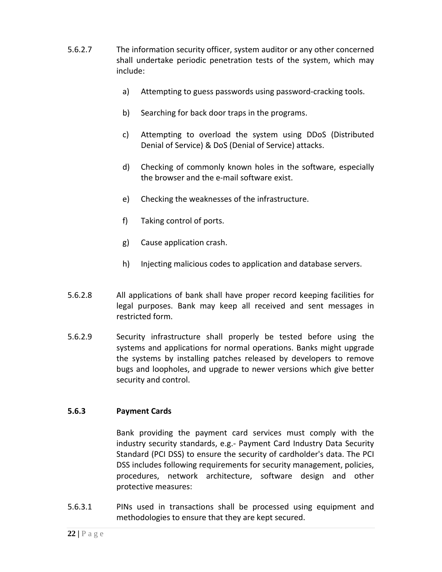- 5.6.2.7 The information security officer, system auditor or any other concerned shall undertake periodic penetration tests of the system, which may include:
	- a) Attempting to guess passwords using password‐cracking tools.
	- b) Searching for back door traps in the programs.
	- c) Attempting to overload the system using DDoS (Distributed Denial of Service) & DoS (Denial of Service) attacks.
	- d) Checking of commonly known holes in the software, especially the browser and the e‐mail software exist.
	- e) Checking the weaknesses of the infrastructure.
	- f) Taking control of ports.
	- g) Cause application crash.
	- h) Injecting malicious codes to application and database servers.
- 5.6.2.8 All applications of bank shall have proper record keeping facilities for legal purposes. Bank may keep all received and sent messages in restricted form.
- 5.6.2.9 Security infrastructure shall properly be tested before using the systems and applications for normal operations. Banks might upgrade the systems by installing patches released by developers to remove bugs and loopholes, and upgrade to newer versions which give better security and control.

#### **5.6.3 Payment Cards**

Bank providing the payment card services must comply with the industry security standards, e.g.‐ Payment Card Industry Data Security Standard (PCI DSS) to ensure the security of cardholder's data. The PCI DSS includes following requirements for security management, policies, procedures, network architecture, software design and other protective measures:

5.6.3.1 PINs used in transactions shall be processed using equipment and methodologies to ensure that they are kept secured.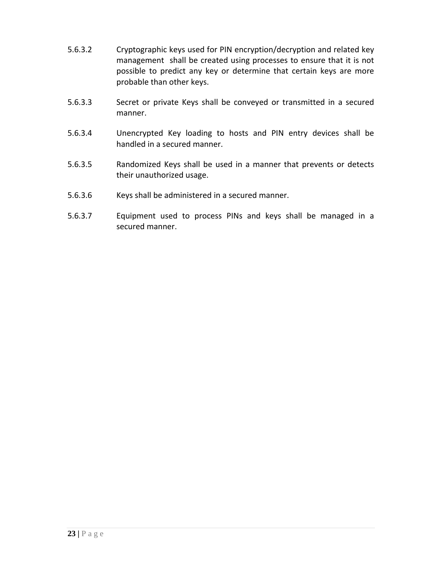- 5.6.3.2 Cryptographic keys used for PIN encryption/decryption and related key management shall be created using processes to ensure that it is not possible to predict any key or determine that certain keys are more probable than other keys.
- 5.6.3.3 Secret or private Keys shall be conveyed or transmitted in a secured manner.
- 5.6.3.4 Unencrypted Key loading to hosts and PIN entry devices shall be handled in a secured manner.
- 5.6.3.5 Randomized Keys shall be used in a manner that prevents or detects their unauthorized usage.
- 5.6.3.6 Keys shall be administered in a secured manner.
- 5.6.3.7 Equipment used to process PINs and keys shall be managed in a secured manner.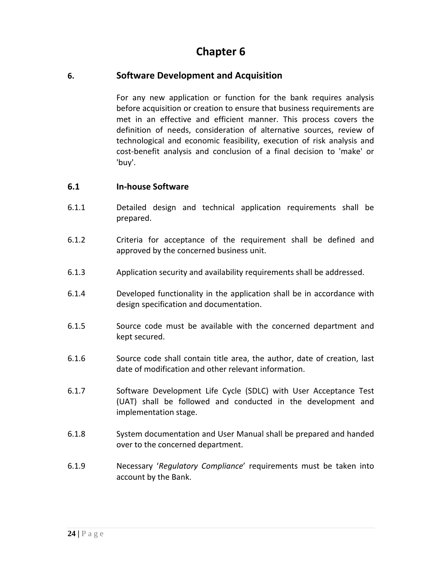# **6. Software Development and Acquisition**

For any new application or function for the bank requires analysis before acquisition or creation to ensure that business requirements are met in an effective and efficient manner. This process covers the definition of needs, consideration of alternative sources, review of technological and economic feasibility, execution of risk analysis and cost‐benefit analysis and conclusion of a final decision to 'make' or 'buy'.

#### **6.1 In‐house Software**

- 6.1.1 Detailed design and technical application requirements shall be prepared.
- 6.1.2 Criteria for acceptance of the requirement shall be defined and approved by the concerned business unit.
- 6.1.3 Application security and availability requirements shall be addressed.
- 6.1.4 Developed functionality in the application shall be in accordance with design specification and documentation.
- 6.1.5 Source code must be available with the concerned department and kept secured.
- 6.1.6 Source code shall contain title area, the author, date of creation, last date of modification and other relevant information.
- 6.1.7 Software Development Life Cycle (SDLC) with User Acceptance Test (UAT) shall be followed and conducted in the development and implementation stage.
- 6.1.8 System documentation and User Manual shall be prepared and handed over to the concerned department.
- 6.1.9 Necessary '*Regulatory Compliance*' requirements must be taken into account by the Bank.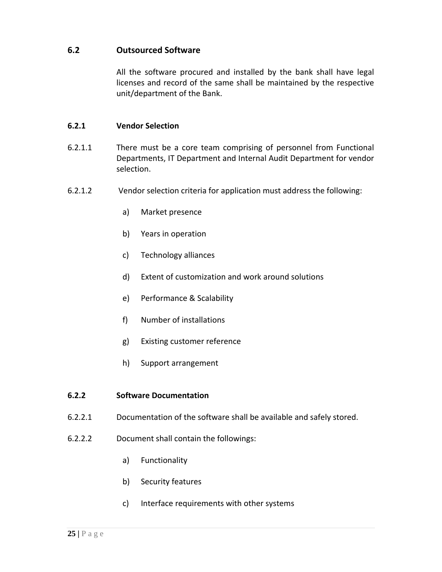## **6.2 Outsourced Software**

All the software procured and installed by the bank shall have legal licenses and record of the same shall be maintained by the respective unit/department of the Bank.

#### **6.2.1 Vendor Selection**

- 6.2.1.1 There must be a core team comprising of personnel from Functional Departments, IT Department and Internal Audit Department for vendor selection.
- 6.2.1.2 Vendor selection criteria for application must address the following:
	- a) Market presence
	- b) Years in operation
	- c) Technology alliances
	- d) Extent of customization and work around solutions
	- e) Performance & Scalability
	- f) Number of installations
	- g) Existing customer reference
	- h) Support arrangement

#### **6.2.2 Software Documentation**

- 6.2.2.1 Documentation of the software shall be available and safely stored.
- 6.2.2.2 Document shall contain the followings:
	- a) Functionality
	- b) Security features
	- c) Interface requirements with other systems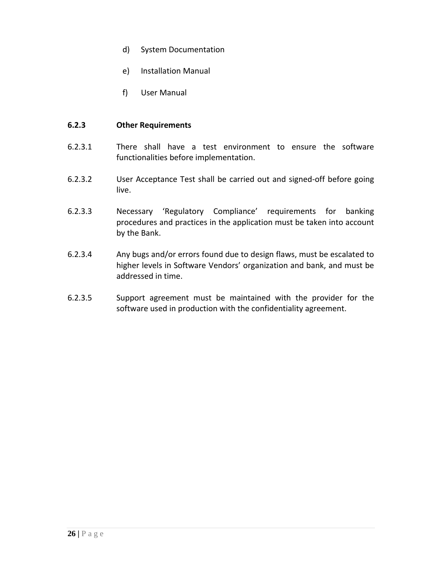- d) System Documentation
- e) Installation Manual
- f) User Manual

#### **6.2.3 Other Requirements**

- 6.2.3.1 There shall have a test environment to ensure the software functionalities before implementation.
- 6.2.3.2 User Acceptance Test shall be carried out and signed‐off before going live.
- 6.2.3.3 Necessary 'Regulatory Compliance' requirements for banking procedures and practices in the application must be taken into account by the Bank.
- 6.2.3.4 Any bugs and/or errors found due to design flaws, must be escalated to higher levels in Software Vendors' organization and bank, and must be addressed in time.
- 6.2.3.5 Support agreement must be maintained with the provider for the software used in production with the confidentiality agreement.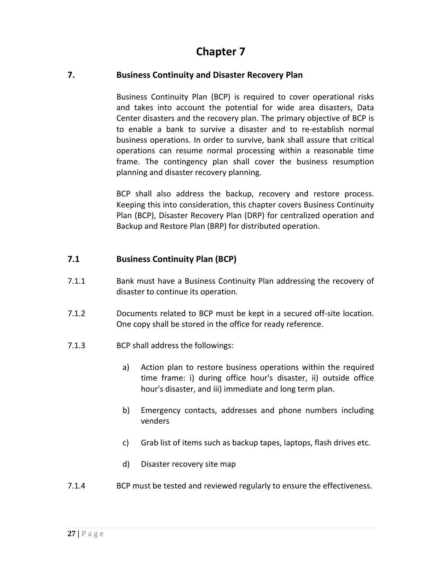## **7. Business Continuity and Disaster Recovery Plan**

Business Continuity Plan (BCP) is required to cover operational risks and takes into account the potential for wide area disasters, Data Center disasters and the recovery plan. The primary objective of BCP is to enable a bank to survive a disaster and to re‐establish normal business operations. In order to survive, bank shall assure that critical operations can resume normal processing within a reasonable time frame. The contingency plan shall cover the business resumption planning and disaster recovery planning.

BCP shall also address the backup, recovery and restore process. Keeping this into consideration, this chapter covers Business Continuity Plan (BCP), Disaster Recovery Plan (DRP) for centralized operation and Backup and Restore Plan (BRP) for distributed operation.

# **7.1 Business Continuity Plan (BCP)**

- 7.1.1 **Bank must have a Business Continuity Plan addressing the recovery of** disaster to continue its operation.
- 7.1.2 Documents related to BCP must be kept in a secured off-site location. One copy shall be stored in the office for ready reference.
- 7.1.3 BCP shall address the followings:
	- a) Action plan to restore business operations within the required time frame: i) during office hour's disaster, ii) outside office hour's disaster, and iii) immediate and long term plan.
	- b) Emergency contacts, addresses and phone numbers including venders
	- c) Grab list of items such as backup tapes, laptops, flash drives etc.
	- d) Disaster recovery site map
- 7.1.4 BCP must be tested and reviewed regularly to ensure the effectiveness.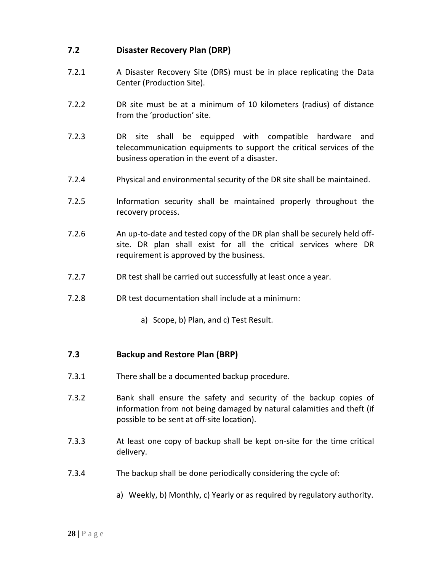# **7.2 Disaster Recovery Plan (DRP)**

- 7.2.1 A Disaster Recovery Site (DRS) must be in place replicating the Data Center (Production Site).
- 7.2.2 DR site must be at a minimum of 10 kilometers (radius) of distance from the 'production' site.
- 7.2.3 DR site shall be equipped with compatible hardware and telecommunication equipments to support the critical services of the business operation in the event of a disaster.
- 7.2.4 Physical and environmental security of the DR site shall be maintained.
- 7.2.5 Information security shall be maintained properly throughout the recovery process.
- 7.2.6 An up-to-date and tested copy of the DR plan shall be securely held offsite. DR plan shall exist for all the critical services where DR requirement is approved by the business.
- 7.2.7 DR test shall be carried out successfully at least once a year.
- 7.2.8 DR test documentation shall include at a minimum:
	- a) Scope, b) Plan, and c) Test Result.

## **7.3 Backup and Restore Plan (BRP)**

- 7.3.1 There shall be a documented backup procedure.
- 7.3.2 Bank shall ensure the safety and security of the backup copies of information from not being damaged by natural calamities and theft (if possible to be sent at off‐site location).
- 7.3.3 **At least one copy of backup shall be kept on-site for the time critical** delivery.
- 7.3.4 The backup shall be done periodically considering the cycle of:
	- a) Weekly, b) Monthly, c) Yearly or as required by regulatory authority.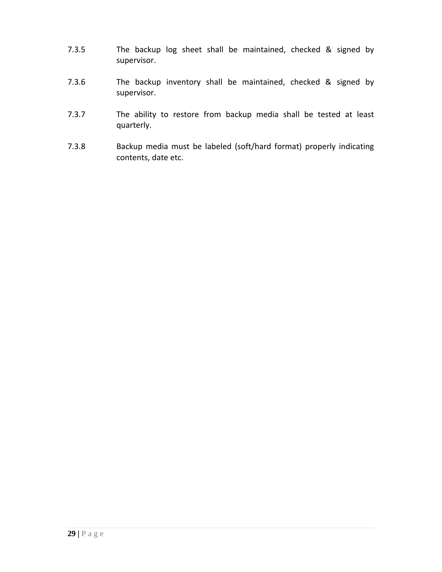- 7.3.5 The backup log sheet shall be maintained, checked & signed by supervisor.
- 7.3.6 The backup inventory shall be maintained, checked & signed by supervisor.
- 7.3.7 The ability to restore from backup media shall be tested at least quarterly.
- 7.3.8 Backup media must be labeled (soft/hard format) properly indicating contents, date etc.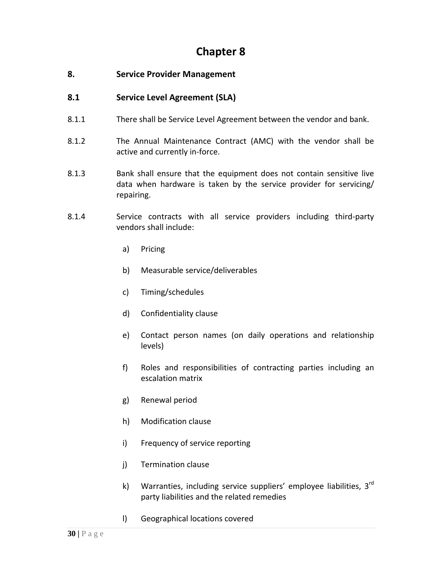# **8. Service Provider Management**

# **8.1 Service Level Agreement (SLA)**

- 8.1.1 There shall be Service Level Agreement between the vendor and bank.
- 8.1.2 The Annual Maintenance Contract (AMC) with the vendor shall be active and currently in‐force.
- 8.1.3 Bank shall ensure that the equipment does not contain sensitive live data when hardware is taken by the service provider for servicing/ repairing.
- 8.1.4 Service contracts with all service providers including third‐party vendors shall include:
	- a) Pricing
	- b) Measurable service/deliverables
	- c) Timing/schedules
	- d) Confidentiality clause
	- e) Contact person names (on daily operations and relationship levels)
	- f) Roles and responsibilities of contracting parties including an escalation matrix
	- g) Renewal period
	- h) Modification clause
	- i) Frequency of service reporting
	- j) Termination clause
	- k) Warranties, including service suppliers' employee liabilities,  $3^{rd}$ party liabilities and the related remedies
	- l) Geographical locations covered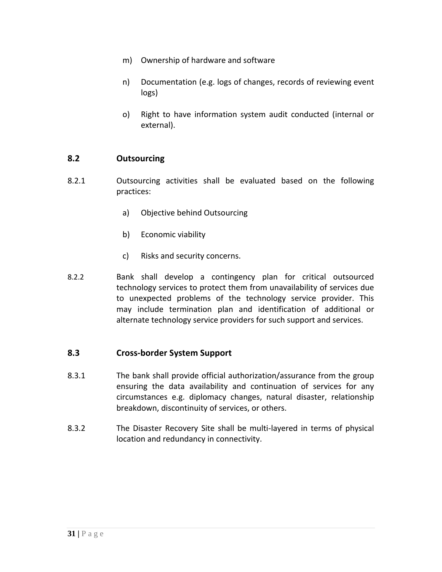- m) Ownership of hardware and software
- n) Documentation (e.g. logs of changes, records of reviewing event logs)
- o) Right to have information system audit conducted (internal or external).

#### **8.2 Outsourcing**

- 8.2.1 Outsourcing activities shall be evaluated based on the following practices:
	- a) Objective behind Outsourcing
	- b) Economic viability
	- c) Risks and security concerns.
- 8.2.2 Bank shall develop a contingency plan for critical outsourced technology services to protect them from unavailability of services due to unexpected problems of the technology service provider. This may include termination plan and identification of additional or alternate technology service providers for such support and services.

#### **8.3 Cross‐border System Support**

- 8.3.1 The bank shall provide official authorization/assurance from the group ensuring the data availability and continuation of services for any circumstances e.g. diplomacy changes, natural disaster, relationship breakdown, discontinuity of services, or others.
- 8.3.2 The Disaster Recovery Site shall be multi‐layered in terms of physical location and redundancy in connectivity.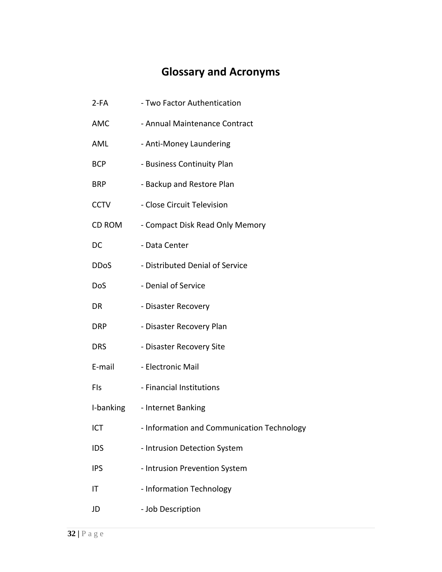# **Glossary and Acronyms**

| $2-FA$        | - Two Factor Authentication                |
|---------------|--------------------------------------------|
| <b>AMC</b>    | - Annual Maintenance Contract              |
| <b>AML</b>    | - Anti-Money Laundering                    |
| <b>BCP</b>    | - Business Continuity Plan                 |
| <b>BRP</b>    | - Backup and Restore Plan                  |
| <b>CCTV</b>   | - Close Circuit Television                 |
| <b>CD ROM</b> | - Compact Disk Read Only Memory            |
| DC            | - Data Center                              |
| <b>DDoS</b>   | - Distributed Denial of Service            |
| DoS           | - Denial of Service                        |
| <b>DR</b>     | - Disaster Recovery                        |
| DRP           | - Disaster Recovery Plan                   |
| <b>DRS</b>    | - Disaster Recovery Site                   |
| E-mail        | - Electronic Mail                          |
| FIs           | - Financial Institutions                   |
| I-banking     | - Internet Banking                         |
| ICT           | - Information and Communication Technology |
| <b>IDS</b>    | - Intrusion Detection System               |
| <b>IPS</b>    | - Intrusion Prevention System              |
| IT            | - Information Technology                   |
| JD            | - Job Description                          |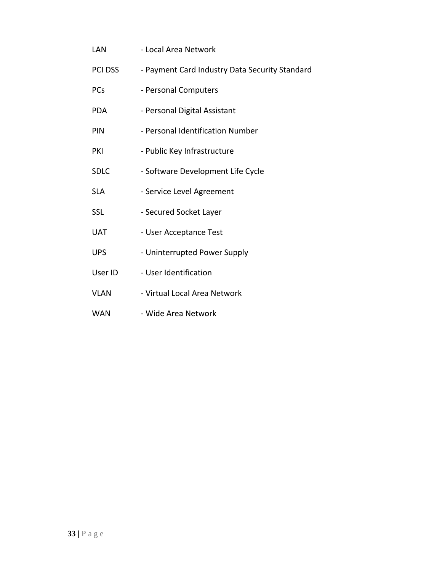LAN - Local Area Network PCI DSS - Payment Card Industry Data Security Standard PCs - Personal Computers PDA - Personal Digital Assistant PIN - Personal Identification Number PKI - Public Key Infrastructure SDLC ‐ Software Development Life Cycle SLA **- Service Level Agreement** SSL - Secured Socket Layer UAT - User Acceptance Test UPS **-** Uninterrupted Power Supply User ID - User Identification VLAN - Virtual Local Area Network WAN - Wide Area Network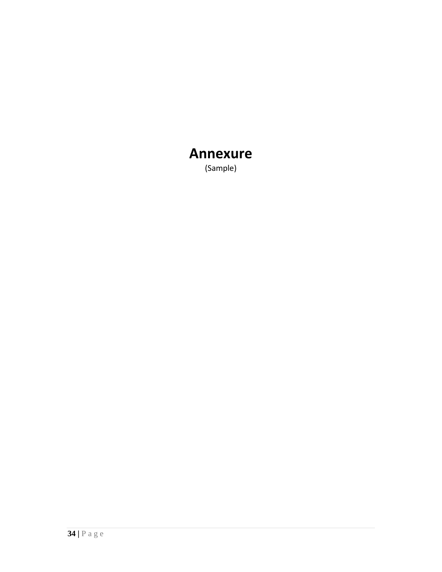# **Annexure**

(Sample)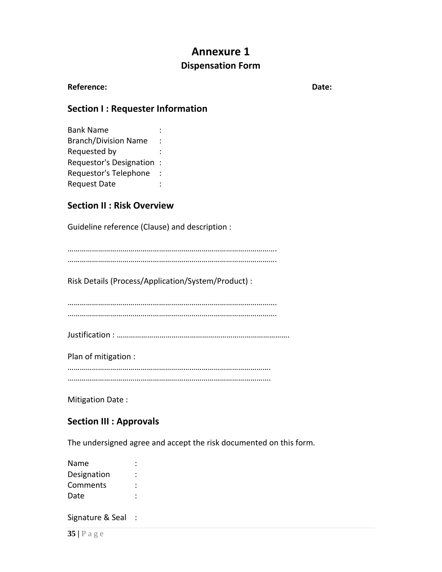# **Annexure 1 Dispensation Form**

#### **Reference: Date:**

# **Section I : Requester Information**

| <b>Bank Name</b>               |   |
|--------------------------------|---|
| <b>Branch/Division Name</b>    |   |
| Requested by                   |   |
| <b>Requestor's Designation</b> | ٠ |
| Requestor's Telephone          |   |
| <b>Request Date</b>            |   |

# **Section II : Risk Overview**

Guideline reference (Clause) and description :

…………………………………………………………………………………………. ………………………………………………………………………………………….

Risk Details (Process/Application/System/Product) :

…………………………………………………………………………………………. ………………………………………………………………………………………….

Justification : ………………………………………………………………………….

Plan of mitigation :

………………………………………………………………………………………. ……………………………………………………………………………………….

Mitigation Date :

## **Section III : Approvals**

The undersigned agree and accept the risk documented on this form.

| Name        |  |
|-------------|--|
| Designation |  |
| Comments    |  |
| Date        |  |
|             |  |

Signature & Seal :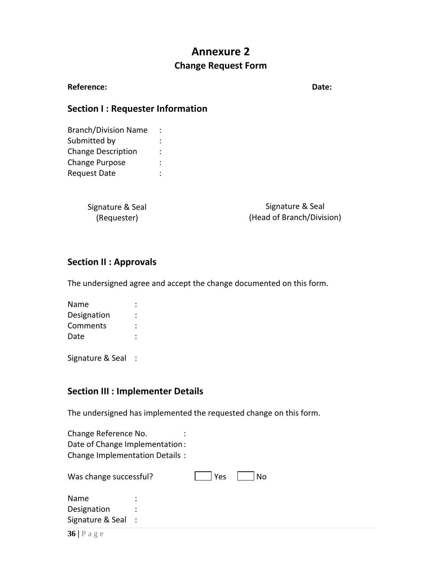# **Annexure 2 Change Request Form**

#### **Reference: Date:**

# **Section I : Requester Information**

Branch/Division Name : Submitted by  $\qquad \qquad :$ Change Description : Change Purpose : Request Date : :

| Signature & Seal | Signature & Seal          |
|------------------|---------------------------|
| (Requester)      | (Head of Branch/Division) |

## **Section II : Approvals**

The undersigned agree and accept the change documented on this form.

| Name        |  |
|-------------|--|
| Designation |  |
| Comments    |  |
| Date        |  |
|             |  |

Signature & Seal :

## **Section III : Implementer Details**

The undersigned has implemented the requested change on this form.

Change Reference No. : Date of Change Implementation: Change Implementation Details :

| Was change successful? |           | <b>Yes</b> | No |
|------------------------|-----------|------------|----|
| Name                   | $\bullet$ |            |    |
| Designation            | ٠         |            |    |
| Signature & Seal :     |           |            |    |
| 201 <sub>0</sub>       |           |            |    |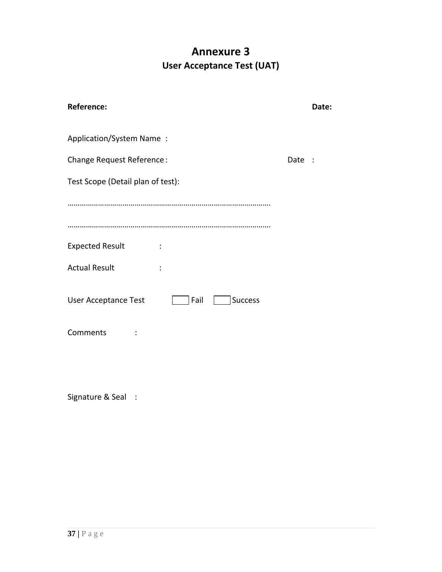# **Annexure 3 User Acceptance Test (UAT)**

| <b>Reference:</b>                                     |      | Date: |
|-------------------------------------------------------|------|-------|
| Application/System Name:                              |      |       |
| Change Request Reference:                             | Date |       |
| Test Scope (Detail plan of test):                     |      |       |
|                                                       |      |       |
|                                                       |      |       |
| <b>Expected Result</b>                                |      |       |
| <b>Actual Result</b>                                  |      |       |
| <b>User Acceptance Test</b><br>Fail<br><b>Success</b> |      |       |
| Comments                                              |      |       |
|                                                       |      |       |

Signature & Seal :